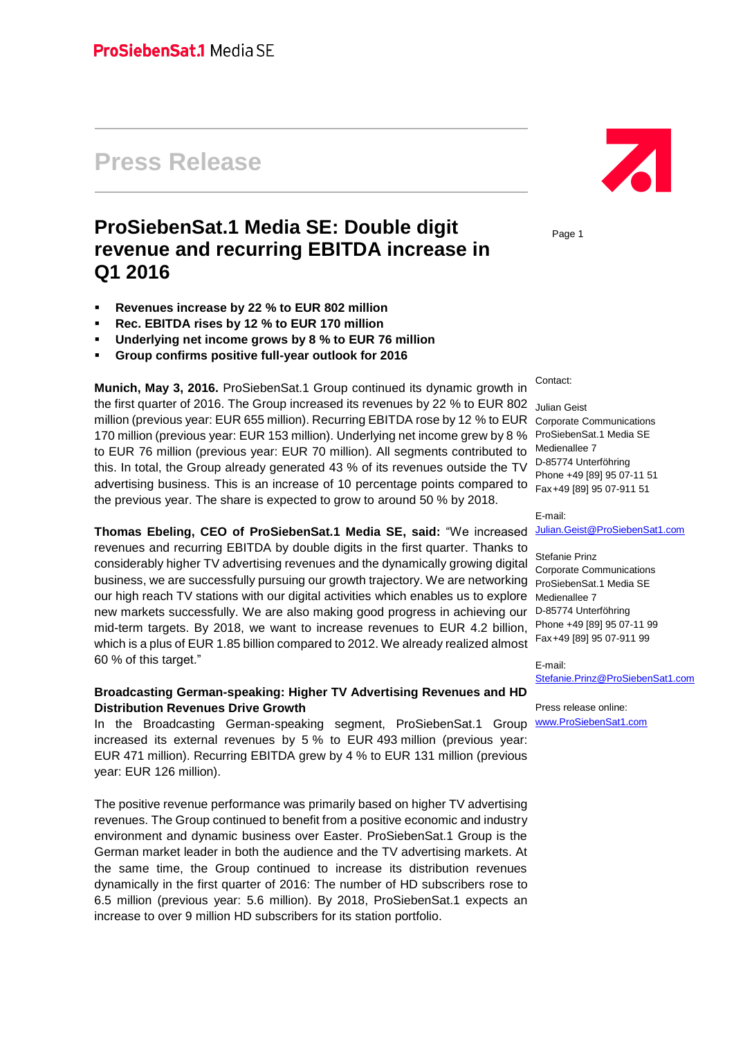# **Press Release**

# **ProSiebenSat.1 Media SE: Double digit revenue and recurring EBITDA increase in Q1 2016**

- **Revenues increase by 22 % to EUR 802 million**
- **Rec. EBITDA rises by 12 % to EUR 170 million**
- **Underlying net income grows by 8 % to EUR 76 million**
- **Group confirms positive full-year outlook for 2016**

**Munich, May 3, 2016.** ProSiebenSat.1 Group continued its dynamic growth in the first quarter of 2016. The Group increased its revenues by 22 % to EUR 802  $\,$  <sub>Julian Geist</sub> million (previous year: EUR 655 million). Recurring EBITDA rose by 12 % to EUR 170 million (previous year: EUR 153 million). Underlying net income grew by 8 % to EUR 76 million (previous year: EUR 70 million). All segments contributed to this. In total, the Group already generated 43 % of its revenues outside the TV advertising business. This is an increase of 10 percentage points compared to the previous year. The share is expected to grow to around 50 % by 2018.

**Thomas Ebeling, CEO of ProSiebenSat.1 Media SE, said:** "We increased revenues and recurring EBITDA by double digits in the first quarter. Thanks to considerably higher TV advertising revenues and the dynamically growing digital business, we are successfully pursuing our growth trajectory. We are networking our high reach TV stations with our digital activities which enables us to explore Medienallee 7 new markets successfully. We are also making good progress in achieving our mid-term targets. By 2018, we want to increase revenues to EUR 4.2 billion, which is a plus of EUR 1.85 billion compared to 2012. We already realized almost 60 % of this target."

#### **Broadcasting German-speaking: Higher TV Advertising Revenues and HD Distribution Revenues Drive Growth**

In the Broadcasting German-speaking segment, ProSiebenSat.1 Group **[www.ProSiebenSat1.com](http://www.prosiebensat1.com/)** increased its external revenues by 5 % to EUR 493 million (previous year: EUR 471 million). Recurring EBITDA grew by 4 % to EUR 131 million (previous year: EUR 126 million).

The positive revenue performance was primarily based on higher TV advertising revenues. The Group continued to benefit from a positive economic and industry environment and dynamic business over Easter. ProSiebenSat.1 Group is the German market leader in both the audience and the TV advertising markets. At the same time, the Group continued to increase its distribution revenues dynamically in the first quarter of 2016: The number of HD subscribers rose to 6.5 million (previous year: 5.6 million). By 2018, ProSiebenSat.1 expects an increase to over 9 million HD subscribers for its station portfolio.



Page 1

Contact:

Corporate Communications ProSiebenSat.1 Media SE Medienallee 7 D-85774 Unterföhring Phone +49 [89] 95 07-11 51 Fax+49 [89] 95 07-911 51

E-mail: [Julian.Geist@ProSiebenSat1.com](mailto:Julian.Geist@prosiebensat1.com)

Stefanie Prinz Corporate Communications ProSiebenSat.1 Media SE D-85774 Unterföhring Phone +49 [89] 95 07-11 99 Fax+49 [89] 95 07-911 99

E-mail: [Stefanie.Prinz@ProSiebenSat1.com](mailto:Stefanie.Prinz@prosiebensat1.com)

Press release online: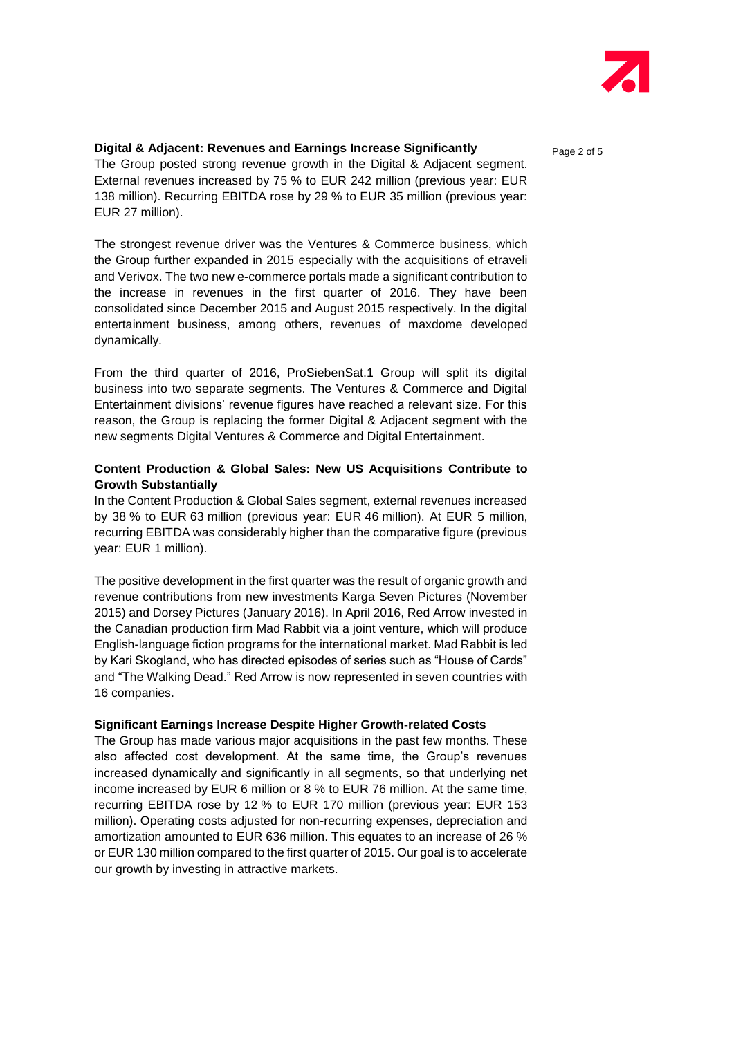

### **Digital & Adjacent: Revenues and Earnings Increase Significantly state of**  $_{\text{Page 2 of 5}}$

The Group posted strong revenue growth in the Digital & Adjacent segment. External revenues increased by 75 % to EUR 242 million (previous year: EUR 138 million). Recurring EBITDA rose by 29 % to EUR 35 million (previous year: EUR 27 million).

The strongest revenue driver was the Ventures & Commerce business, which the Group further expanded in 2015 especially with the acquisitions of etraveli and Verivox. The two new e-commerce portals made a significant contribution to the increase in revenues in the first quarter of 2016. They have been consolidated since December 2015 and August 2015 respectively. In the digital entertainment business, among others, revenues of maxdome developed dynamically.

From the third quarter of 2016, ProSiebenSat.1 Group will split its digital business into two separate segments. The Ventures & Commerce and Digital Entertainment divisions' revenue figures have reached a relevant size. For this reason, the Group is replacing the former Digital & Adjacent segment with the new segments Digital Ventures & Commerce and Digital Entertainment.

#### **Content Production & Global Sales: New US Acquisitions Contribute to Growth Substantially**

In the Content Production & Global Sales segment, external revenues increased by 38 % to EUR 63 million (previous year: EUR 46 million). At EUR 5 million, recurring EBITDA was considerably higher than the comparative figure (previous year: EUR 1 million).

The positive development in the first quarter was the result of organic growth and revenue contributions from new investments Karga Seven Pictures (November 2015) and Dorsey Pictures (January 2016). In April 2016, Red Arrow invested in the Canadian production firm Mad Rabbit via a joint venture, which will produce English-language fiction programs for the international market. Mad Rabbit is led by Kari Skogland, who has directed episodes of series such as "House of Cards" and "The Walking Dead." Red Arrow is now represented in seven countries with 16 companies.

#### **Significant Earnings Increase Despite Higher Growth-related Costs**

The Group has made various major acquisitions in the past few months. These also affected cost development. At the same time, the Group's revenues increased dynamically and significantly in all segments, so that underlying net income increased by EUR 6 million or 8 % to EUR 76 million. At the same time, recurring EBITDA rose by 12 % to EUR 170 million (previous year: EUR 153 million). Operating costs adjusted for non-recurring expenses, depreciation and amortization amounted to EUR 636 million. This equates to an increase of 26 % or EUR 130 million compared to the first quarter of 2015. Our goal is to accelerate our growth by investing in attractive markets.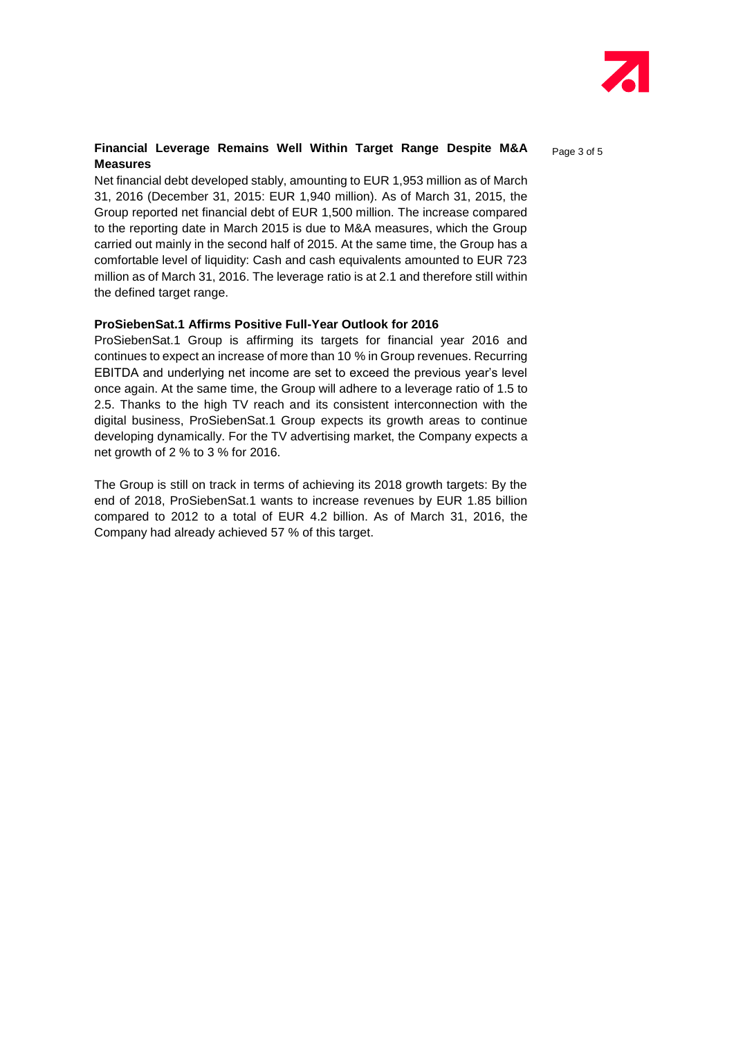

#### **Financial Leverage Remains Well Within Target Range Despite M&A** Page 3 of 5 **Measures**

Net financial debt developed stably, amounting to EUR 1,953 million as of March 31, 2016 (December 31, 2015: EUR 1,940 million). As of March 31, 2015, the Group reported net financial debt of EUR 1,500 million. The increase compared to the reporting date in March 2015 is due to M&A measures, which the Group carried out mainly in the second half of 2015. At the same time, the Group has a comfortable level of liquidity: Cash and cash equivalents amounted to EUR 723 million as of March 31, 2016. The leverage ratio is at 2.1 and therefore still within the defined target range.

#### **ProSiebenSat.1 Affirms Positive Full-Year Outlook for 2016**

ProSiebenSat.1 Group is affirming its targets for financial year 2016 and continues to expect an increase of more than 10 % in Group revenues. Recurring EBITDA and underlying net income are set to exceed the previous year's level once again. At the same time, the Group will adhere to a leverage ratio of 1.5 to 2.5. Thanks to the high TV reach and its consistent interconnection with the digital business, ProSiebenSat.1 Group expects its growth areas to continue developing dynamically. For the TV advertising market, the Company expects a net growth of 2 % to 3 % for 2016.

The Group is still on track in terms of achieving its 2018 growth targets: By the end of 2018, ProSiebenSat.1 wants to increase revenues by EUR 1.85 billion compared to 2012 to a total of EUR 4.2 billion. As of March 31, 2016, the Company had already achieved 57 % of this target.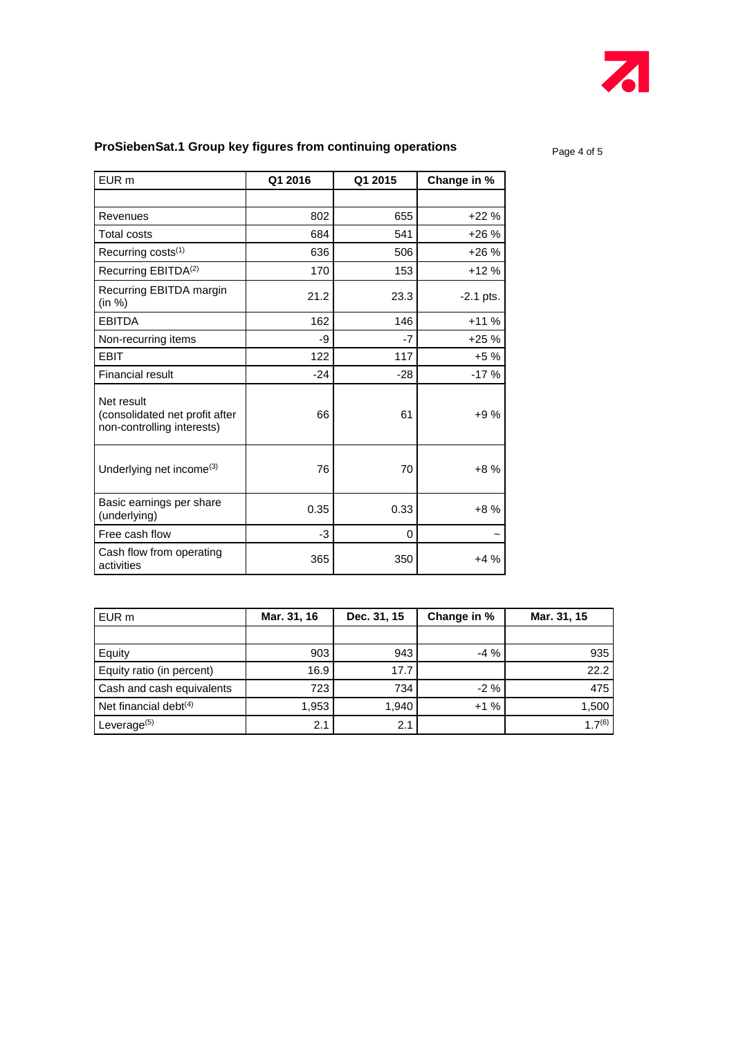

## **ProSiebenSat.1 Group key figures from continuing operations**

Page 4 of 5

| EUR <sub>m</sub>                                                           | Q1 2016 | Q1 2015  | Change in % |
|----------------------------------------------------------------------------|---------|----------|-------------|
|                                                                            |         |          |             |
| Revenues                                                                   | 802     | 655      | $+22%$      |
| <b>Total costs</b>                                                         | 684     | 541      | $+26%$      |
| Recurring costs <sup>(1)</sup>                                             | 636     | 506      | $+26%$      |
| Recurring EBITDA <sup>(2)</sup>                                            | 170     | 153      | $+12%$      |
| Recurring EBITDA margin<br>(in %)                                          | 21.2    | 23.3     | $-2.1$ pts. |
| <b>EBITDA</b>                                                              | 162     | 146      | $+11%$      |
| Non-recurring items                                                        | -9      | $-7$     | $+25%$      |
| <b>EBIT</b>                                                                | 122     | 117      | $+5%$       |
| <b>Financial result</b>                                                    | $-24$   | $-28$    | $-17%$      |
| Net result<br>(consolidated net profit after<br>non-controlling interests) | 66      | 61       | $+9%$       |
| Underlying net income <sup>(3)</sup>                                       | 76      | 70       | $+8%$       |
| Basic earnings per share<br>(underlying)                                   | 0.35    | 0.33     | $+8%$       |
| Free cash flow                                                             | $-3$    | $\Omega$ |             |
| Cash flow from operating<br>activities                                     | 365     | 350      | $+4%$       |

| EUR m                     | Mar. 31, 16 | Dec. 31, 15 | Change in % | Mar. 31, 15 |
|---------------------------|-------------|-------------|-------------|-------------|
|                           |             |             |             |             |
| Equity                    | 903         | 943         | $-4\%$      | 935         |
| Equity ratio (in percent) | 16.9        | 17.7        |             | 22.2        |
| Cash and cash equivalents | 723         | 734         | $-2\%$      | 475         |
| Net financial debt $(4)$  | 1,953       | 1,940       | $+1%$       | 1,500       |
| Leverage <sup>(5)</sup>   | 2.1         | 2.1         |             | $1.7^{(6)}$ |